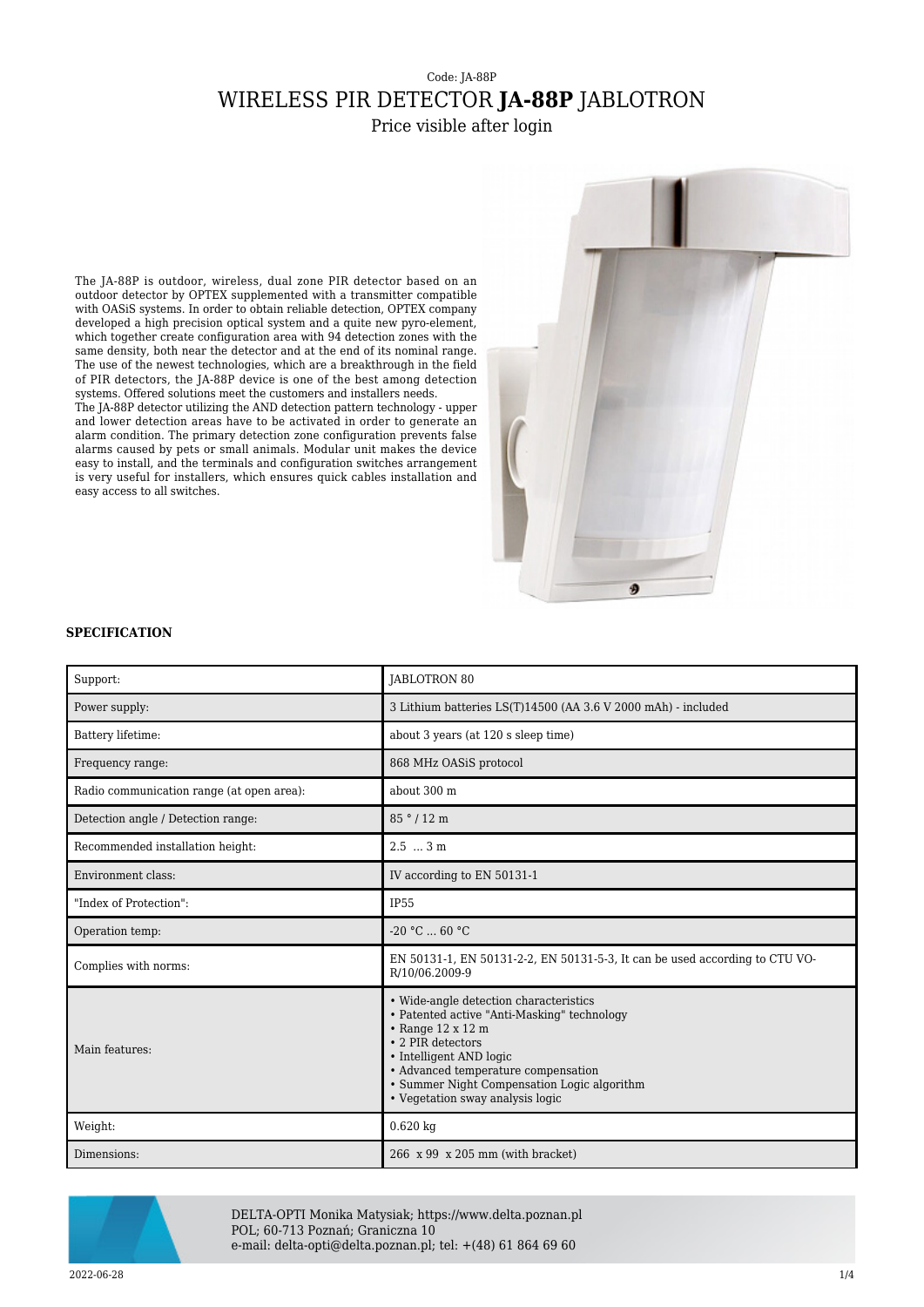## Code: JA-88P WIRELESS PIR DETECTOR **JA-88P** JABLOTRON

Price visible after login

The JA-88P is outdoor, wireless, dual zone PIR detector based on an outdoor detector by OPTEX supplemented with a transmitter compatible with OASiS systems. In order to obtain reliable detection, OPTEX company developed a high precision optical system and a quite new pyro-element, which together create configuration area with 94 detection zones with the same density, both near the detector and at the end of its nominal range. The use of the newest technologies, which are a breakthrough in the field of PIR detectors, the JA-88P device is one of the best among detection systems. Offered solutions meet the customers and installers needs.

The JA-88P detector utilizing the AND detection pattern technology - upper and lower detection areas have to be activated in order to generate an alarm condition. The primary detection zone configuration prevents false alarms caused by pets or small animals. Modular unit makes the device easy to install, and the terminals and configuration switches arrangement is very useful for installers, which ensures quick cables installation and easy access to all switches.



## **SPECIFICATION**

| Support:                                  | <b>JABLOTRON 80</b>                                                                                                                                                                                                                                                                        |
|-------------------------------------------|--------------------------------------------------------------------------------------------------------------------------------------------------------------------------------------------------------------------------------------------------------------------------------------------|
| Power supply:                             | 3 Lithium batteries LS(T)14500 (AA 3.6 V 2000 mAh) - included                                                                                                                                                                                                                              |
| Battery lifetime:                         | about 3 years (at 120 s sleep time)                                                                                                                                                                                                                                                        |
| Frequency range:                          | 868 MHz OASiS protocol                                                                                                                                                                                                                                                                     |
| Radio communication range (at open area): | about 300 m                                                                                                                                                                                                                                                                                |
| Detection angle / Detection range:        | 85°/12 m                                                                                                                                                                                                                                                                                   |
| Recommended installation height:          | $2.5$ $3 \text{ m}$                                                                                                                                                                                                                                                                        |
| Environment class:                        | IV according to EN 50131-1                                                                                                                                                                                                                                                                 |
| "Index of Protection":                    | <b>IP55</b>                                                                                                                                                                                                                                                                                |
| Operation temp:                           | $-20 °C  60 °C$                                                                                                                                                                                                                                                                            |
| Complies with norms:                      | EN 50131-1, EN 50131-2-2, EN 50131-5-3, It can be used according to CTU VO-<br>R/10/06.2009-9                                                                                                                                                                                              |
| Main features:                            | • Wide-angle detection characteristics<br>• Patented active "Anti-Masking" technology<br>$\cdot$ Range 12 x 12 m<br>• 2 PIR detectors<br>• Intelligent AND logic<br>· Advanced temperature compensation<br>• Summer Night Compensation Logic algorithm<br>• Vegetation sway analysis logic |
| Weight:                                   | $0.620$ kg                                                                                                                                                                                                                                                                                 |
| Dimensions:                               | 266 x 99 x 205 mm (with bracket)                                                                                                                                                                                                                                                           |



DELTA-OPTI Monika Matysiak; https://www.delta.poznan.pl POL; 60-713 Poznań; Graniczna 10 e-mail: delta-opti@delta.poznan.pl; tel: +(48) 61 864 69 60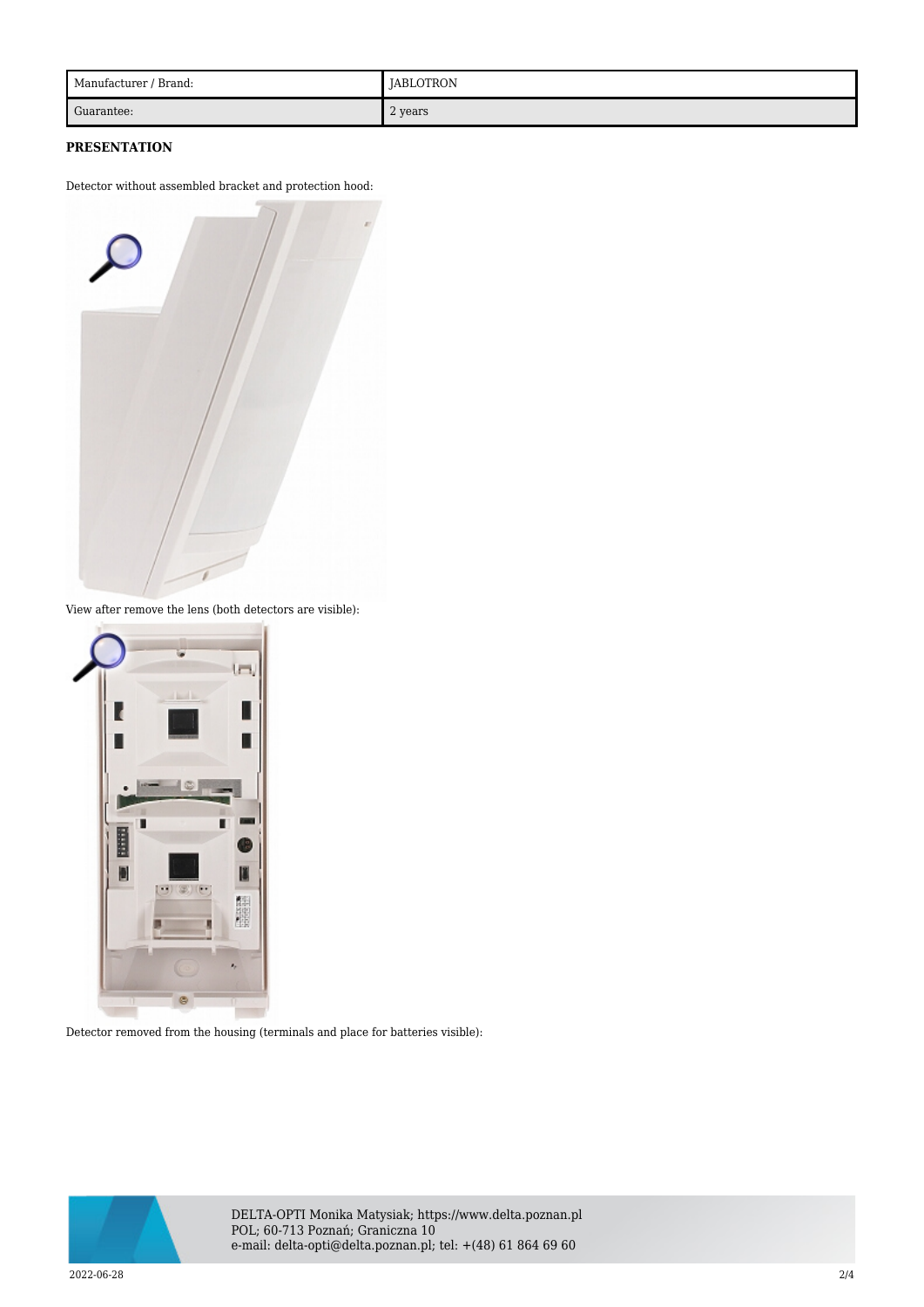| Manufacturer / Brand: | <b>JABLOTRON</b> |
|-----------------------|------------------|
| Guarantee:            | 2 years          |

## **PRESENTATION**

Detector without assembled bracket and protection hood:



View after remove the lens (both detectors are visible):



Detector removed from the housing (terminals and place for batteries visible):



DELTA-OPTI Monika Matysiak; https://www.delta.poznan.pl POL; 60-713 Poznań; Graniczna 10 e-mail: delta-opti@delta.poznan.pl; tel: +(48) 61 864 69 60

2022-06-28 2/4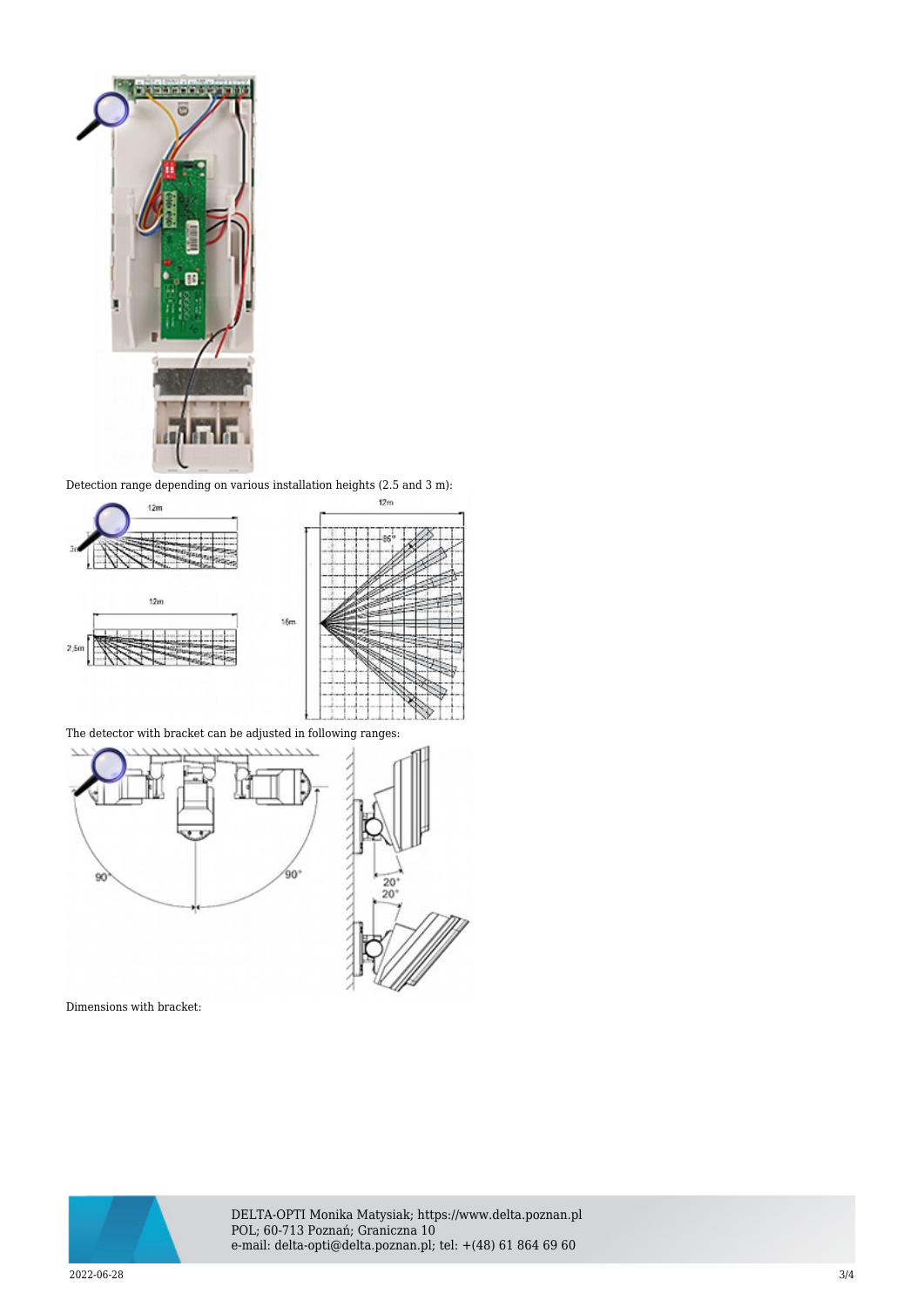

Detection range depending on various installation heights (2.5 and 3 m):



The detector with bracket can be adjusted in following ranges:



Dimensions with bracket:



DELTA-OPTI Monika Matysiak; https://www.delta.poznan.pl POL; 60-713 Poznań; Graniczna 10 e-mail: delta-opti@delta.poznan.pl; tel: +(48) 61 864 69 60

2022-06-28 3/4